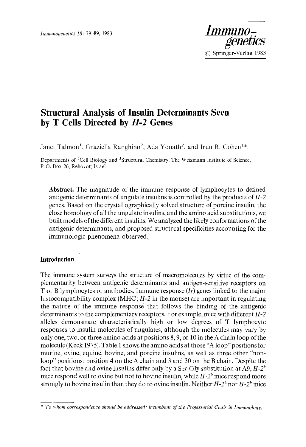

# **Structural Analysis of Insulin Determinants Seen by T Cells Directed by** *H-2* **Genes**

Janet Talmon<sup>1</sup>, Graziella Ranghino<sup>2</sup>, Ada Yonath<sup>2</sup>, and Irun R. Cohen<sup>1\*</sup>.

Departments of <sup>1</sup>Cell Biology and <sup>2</sup>Structural Chemistry, The Weizmann Institute of Science, P. O. Box 26, Rehovot; Israel

**Abstract.** The magnitude of the immune response of lymphocytes to defined antigenic determinants of ungulate insulins is controlled by the products of *H-2*  genes. Based on the crystallographically solved structure of porcine insulin, the close homology of all the ungulate insulins, and the amino acid substitutions, we built models of the different insulins. We analyzed the likely conformations of the antigenic determinants, and proposed structural specificities accounting for the immunologic phenomena observed.

## **Introduction**

The immune system surveys the structure of macromolecules by virtue of the complementarity between antigenic determinants and antigen-sensitive receptors on T or B lymphocytes or antibodies. Immune response *(It)* genes linked to the major histocompatibility complex (MHC; *H-2* in the mouse) are important in regulating the nature of the immune response that follows the binding of the antigenic determinants to the complementary receptors. For example, mice with different *H-2*  alleles demonstrate characteristically high or low degrees of T lymphocyte responses to insulin molecules of ungulates, although the molecules may vary by only one, two, or three amino acids at positions 8, 9, or 10 in the A chain loop of the molecule (Keck 1975). Table 1 shows the amino acids at those "A loop" positions for murine, ovine, equine, bovine, and porcine insulins, as well as three other "nonloop" positions: position 4 on the A chain and 3 and 30 on the B chain. Despite the fact that bovine and ovine insulins differ only by a Ser-Gly substitution at A9,  $H-2^k$ mice respond well to ovine but not to bovine insulin, while  $H-2<sup>b</sup>$  mice respond more strongly to bovine insulin than they do to ovine insulin. Neither  $H-2^k$  nor  $H-2^b$  mice

*<sup>\*</sup> To whom correspondence should be addressed; ineumbant of the Professorial Chair in Immunology.*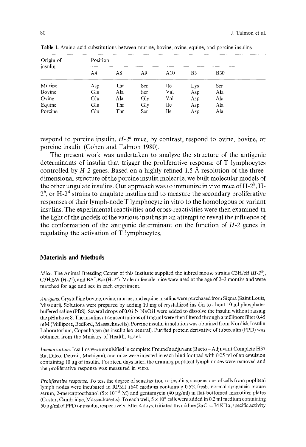| Origin of<br>insulin | Position |     |     |     |                |            |  |  |  |  |
|----------------------|----------|-----|-----|-----|----------------|------------|--|--|--|--|
|                      | A4       | A8  | A9  | A10 | B <sub>3</sub> | <b>B30</b> |  |  |  |  |
| Murine               | Asp      | Thr | Ser | Ile | Lys            | Ser        |  |  |  |  |
| Bovine               | Glu      | Ala | Ser | Val | Asp            | Ala        |  |  |  |  |
| Ovine                | Glu      | Ala | Gly | Val | Asp            | Ala        |  |  |  |  |
| Equine               | Glu      | Thr | Gly | Ile | Asp            | Ala        |  |  |  |  |
| Porcine              | Glu      | Thr | Ser | Ile | Asp            | Ala        |  |  |  |  |

Table 1. Amino acid substitutions between murine, bovine, ovine, equine, and porcine insulins

respond to porcine insulin.  $H-2^d$  mice, by contrast, respond to ovine, bovine, or porcine insulin (Cohen and Talmon 1980).

The present work was undertaken to analyze the structure of the antigenic determinants of insulin that trigger the proliferative response of T lymphocytes controlled by  $H-2$  genes. Based on a highly refined 1.5  $\AA$  resolution of the threedimensional structure of the porcine insulin molecule, we built molecular models of the other ungulate insulins. Our approach was to immunize in vivo mice of  $H-2^k$ ,  $H 2<sup>b</sup>$ , or H- $2<sup>d</sup>$  strains to ungulate insulins and to measure the secondary proliferative responses of their lymph-node T lymphocyte in vitro to the homologous or variant insulins. The experimental reactivities and cross-reactivities were then examined in the light of the models of the various insulins in an attempt to reveal the influence of the conformation of the antigenic determinant on the function of *H-2* genes in regulating the activation of T lymphocytes.

#### **Materials and Methods**

*Mice.* The Animal Breeding Center of this Institute supplied the inbred mouse strains C3H/eB  $(H-2^k)$ , C3H.SW  $(H-2^b)$ , and BALB/c  $(H-2^d)$ . Male or female mice were used at the age of 2-3 months and were matched for age and sex in each experiment.

*Antigens.* Crystalline bovine, ovine, murine, and equine insulins were purchased from Sigma (Saint Louis, Missouri). Solutions were prepared by adding 10 mg of crystallized insulin to about 10 ml phosphatebuffered saline (PBS). Several drops of 0.01 N NaOH were added to dissolve the insulin without raising the pH above 8. The insulins at concentrations of 1 mg/ml were then filtered through a millipore filter 0.45 mM (Millipore, Bedford, Massachusetts). Porcine insulin in solution was obtained from Nordisk Insulin Laboratorium, Copenhagen (as insulin leo neutral). Purified protein derivative of tuberculin (PPD) was obtained from the Ministry of Health, Israel.

*Immunization.* Insulins were emulsified in complete Freund's adjuvant (Bacto - Adjuvant Complete H37 Ra, Difco, Detroit, Michigan), and mice were injected in each hind footpad with 0.05 ml of an emulsion containing 10 µg of insulin. Fourteen days later, the draining popliteal lymph nodes were removed and the proliferative response was measured in vitro.

*Prol!ferative response.* To test the degree of sensitization to insulins, suspensions of cells from popliteal lymph nodes were incubated in RPMI 1640 medium containing 0.5% fresh, normal syngeneic mouse serum, 2-mercaptoethanol ( $5 \times 10^{-5}$  M) and gentamycin (40  $\mu$ g/ml) in flat-bottomed microtiter plates (Costar, Cambridge, Massachusetts). To each well,  $5 \times 10^5$  cells were added in 0.2 ml medium containing 50  $\mu$ g/ml of PPD or insulin, respectively. After 4 days, tritiated thymidine (2 $\mu$ Ci = 74 KBq, specific activity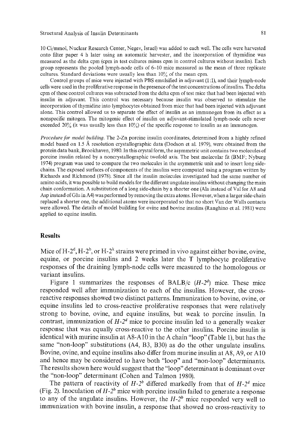10 Ci/mmol, Nuclear Research Center, Negev, Israel) was added to each well. The cells were harvested onto filter paper 4 h later using an automatic harvester, and the incorporation of thymidine was measured as the delta cpm (cpm in test cultures minus cpm in control cultures without insulin). Each group represents the pooled lymph-node cells of 6-10 mice measured as the mean of three replicate cultures. Standard deviations were usually less than 10% of the mean cpm.

Control groups of mice were injected with PBS emulsified in adjuvant (1:1), and their lymph-node cells were used in the proliferative response in the presence of the test concentrations of insulins. The delta cpm of these control cultures was subtracted from the delta cpm of test mice that had been injected with insulin in adjuvant. This control was necessary because insulin was observed to stimulate the incorporation of thymidine into lymphocytes obtained from mice that had been injected with adjuvant alone. This control allowed us to separate the effect of insulin as an immunogen from its effect as a nonspecific mitogen. The mitogenic effect of insulin on adjuvant-stimulated lymph-node cells never exceeded 20% (it was usually less than  $10\%$ ) of the specific response to insulin as an immunogen.

*Procedure for model building*. The 2-Zn porcine insulin coordinates, determined from a highly refined model based on 1.5 Å resolution crystallographic data (Dodson et al. 1979), were obtained from the protein data bank, Brookhaven, 1980. In this crystal form, the asymmetric unit contains two molecules of porcine insulin related by a noncrystallographic twofold axis. The best molecular fit (BMF; Nyburg 1974) program was used to compare the two molecules in the asymmetric unit and to insert long sidechains. The exposed surfaces of components of the insulins were computed using a program written by Richards and Richmond (1978). Since all the insulin molecules investigated had the same number of amino acids, it was possible to build models for the different ungulate insulins without changing the main chain conformation. A substitution of a long side-chain by a shorter one (Ala instead of VaI for A8 and Asp instead of Glu in A4) was performed by removing the extra atoms. However, when a larger side-chain replaced a shorter one, the additional atoms were incorporated so that no short Van der Walls contacts were allowed. The details of model building for ovine and bovine insulins (Ranghino et al. t981) were applied to equine insulin.

### **Results**

Mice of H-2<sup> $d$ </sup>, H-2<sup> $b$ </sup>, or H-2<sup> $k$ </sup> strains were primed in vivo against either bovine, ovine, equine, or porcine insulins and 2 weeks later the T lymphocyte proliferative responses of the draining lymph-node cells were measured to the homologous or variant insulins.

Figure 1 summarizes the responses of BALB/c  $(H-2<sup>d</sup>)$  mice. These mice responded well after immunization to each of the insulins. However, the crossreactive responses showed two distinct patterns. Immunization to bovine, ovine, or equine insulins led to cross-reactive proliferative responses that were relatively strong to bovine, ovine, and equine insulins, but weak to porcihe insulin. In contrast, immunization of  $H-2<sup>d</sup>$  mice to porcine insulin led to a generally weaker response that was equally cross-reactive to the other insulins. Porcine insulin is identical with murine insulin at A8-A10 in the A chain "loop" (Table 1), but has the same "non-loop" substitutions (A4, B3, B30) as do the other ungulate insulins. Bovine, ovine, and equine insulins also differ from murine insulin at A8, A9, or A10 and hence may be considered to have both "loop" and "non-loop" determinants. The results shown here would suggest that the "loop" determinant is dominant over the "non-loop" determinant (Cohen and Talmon 1980).

The pattern of reactivity of  $H-2^b$  differed markedly from that of  $H-2^d$  mice (Fig. 2). Inoculation of  $H-2^b$  mice with porcine insulin failed to generate a response to any of the ungulate insulins. However, the  $H-2^b$  mice responded very well to immunization with bovine insulin, a response that showed no cross-reactivity to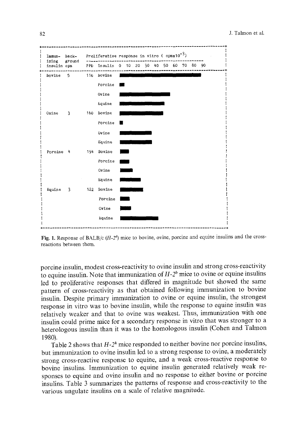| Immun-                      | back-                   |     | Proliferative response in vitro ( $cpmx10^{-3}$ ) |  |  |  |  |  |
|-----------------------------|-------------------------|-----|---------------------------------------------------|--|--|--|--|--|
| izing ground<br>insulin cpm |                         |     | PPD Insulin 0 10 20 30 40 50 60 70 80 90          |  |  |  |  |  |
| bovine                      | 5                       |     | 116 bovine                                        |  |  |  |  |  |
|                             |                         |     | Porcine                                           |  |  |  |  |  |
|                             |                         |     | Ovine                                             |  |  |  |  |  |
|                             |                         |     | Equine                                            |  |  |  |  |  |
| Ovine                       | - 31                    |     | 160 Bovine                                        |  |  |  |  |  |
|                             |                         |     | Porcine                                           |  |  |  |  |  |
|                             |                         |     | Ovine                                             |  |  |  |  |  |
|                             |                         |     | Equine                                            |  |  |  |  |  |
| Porcine 4                   |                         |     | 194 Bovine                                        |  |  |  |  |  |
|                             |                         |     | Porcine                                           |  |  |  |  |  |
|                             |                         |     | Ovine                                             |  |  |  |  |  |
|                             |                         |     | Equine                                            |  |  |  |  |  |
| Equine                      | $\overline{\mathbf{3}}$ | 122 | Bovine                                            |  |  |  |  |  |
|                             |                         |     | Porcine                                           |  |  |  |  |  |
|                             |                         |     | Ovine                                             |  |  |  |  |  |
|                             |                         |     | Equine                                            |  |  |  |  |  |
|                             |                         |     |                                                   |  |  |  |  |  |

Fig. 1. Response of BALB/c (*H*-2<sup>*d*</sup>) mice to bovine, ovine, porcine and equine insulins and the crossreactions between them.

porcine insulin, modest cross-reactivity to ovine insulin and strong cross-reactivity to equine insulin. Note that immunization of  $H-2^b$  mice to ovine or equine insulins led to proliferative responses that differed in magnitude but showed the same pattern of cross-reactivity as that obtained following immunization to bovine insulin. Despite primary immunization to ovine or equine insulin, the strongest response in vitro was to bovine insulin, while the response to equine insulin was relatively weaker and that to ovine was weakest. Thus, immunization with one insulin could prime mice for a secondary response in vitro that was stronger to a heterologous insulin than it was to the homologous insulin (Cohen and Talmon 1980).

Table 2 shows that  $H-2^k$  mice responded to neither bovine nor porcine insulins, but immunization to ovine insulin led to a strong response to ovine, a moderately strong cross-reactive response to equine, and a weak cross-reactive response to bovine insulins. Immunization to equine insulin generated relatively weak responses to equine and ovine insulin and no response to either bovine or porcine insulins. Table 3 summarizes the patterns of response and cross-reactivity to the various ungulate insulins on a scale of relative magnitude.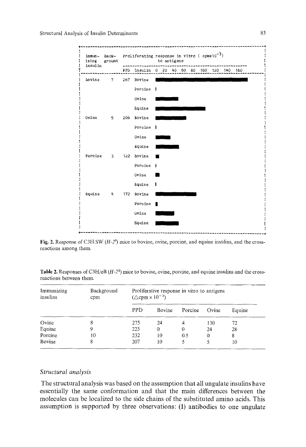

Fig. 2. Response of C3H.SW (H-2<sup>b</sup>) mice to bovine, ovine, porcine, and equine insulins, and the crossreactions among them.

| Table 2. Responses of C3H/eB $(H-2^k)$ mice to bovine, ovine, porcine, and equine insulins and the cross- |  |  |
|-----------------------------------------------------------------------------------------------------------|--|--|
| reactions between them.                                                                                   |  |  |

| Immunizing<br>insulins | Background<br>cpm | Proliferative response in vitro to antigens<br>$(\triangle$ cpm $\times 10^{-3})$ |        |         |       |        |  |  |
|------------------------|-------------------|-----------------------------------------------------------------------------------|--------|---------|-------|--------|--|--|
|                        |                   | <b>PPD</b>                                                                        | Bovine | Porcine | Ovine | Equine |  |  |
| Ovine                  | 8                 | 275                                                                               | 24     | 4       | 130   | 72     |  |  |
| Equine                 |                   | 223                                                                               | 0      | 0       | 24    | 28     |  |  |
| Porcine                | 10                | 232                                                                               | 10     | 0.5     | 0     | 8      |  |  |
| Bovine                 | 8                 | 207                                                                               | 10     | 5       | 5     | 10     |  |  |

#### *Structural analysis*

The structural analysis was based on the assumption that all ungulate insulins have essentially the same conformation and that the main differences between the molecules can be localized to the side chains of the substituted amino acids. This assumption is supported by three observations: (1) antibodies to one ungulate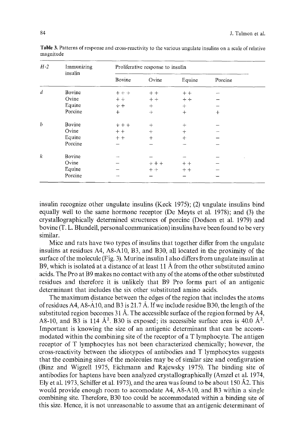| $H-2$            | Immunizing<br>insulin | Proliferative response to insulin |         |        |         |  |  |  |
|------------------|-----------------------|-----------------------------------|---------|--------|---------|--|--|--|
|                  |                       | Bovine                            | Ovine   | Equine | Porcine |  |  |  |
| $\boldsymbol{d}$ | Bovine                | $++$                              | $++$    | $+ +$  |         |  |  |  |
|                  | Ovine                 | $+ +$                             | $+ +$   | $+ +$  |         |  |  |  |
|                  | Equine                | $++$                              | $^{+}$  | $+$    |         |  |  |  |
|                  | Porcine               | $+$                               | $+$     | $^{+}$ | $^{+}$  |  |  |  |
| b                | Bovine                | $+ + +$                           | $^{+}$  | $+$    |         |  |  |  |
|                  | Ovine                 | $++$                              | $+$     | $^{+}$ |         |  |  |  |
|                  | Equine                | $+ +$                             | $^{+}$  | $^{+}$ |         |  |  |  |
|                  | Porcine               |                                   |         |        |         |  |  |  |
| k                | Bovine                |                                   |         |        |         |  |  |  |
|                  | Ovine                 |                                   | $+ + +$ | $++$   |         |  |  |  |
|                  | Equine                |                                   | $++$    | $++$   |         |  |  |  |
|                  | Porcine               |                                   |         |        |         |  |  |  |

Table 3. Patterns of response and cross-reactivity to the various ungulate insulins on a scale of relative magnitude

insulin recognize other ungulate insulins (Keck 1975); (2) ungulate insulins bind equally well to the same hormone receptor (De Meyts et al. 1978); and (3) the crystallographically determined structures of porcine (Dodson et al. 1979) and bovine (T. L. Blundell, personal communication) insulins have been found to be very similar.

Mice and rats have two types of insulins that together differ from the ungulate insulins at residues A4, A8-A10, B3, and B30, all located in the proximity of the surface of the molecule (Fig. 3). Murine insulin I also differs from ungulate insulin at B9, which is isolated at a distance of at least 11 Å from the other substituted amino acids. The Pro at B9 makes no contact with any of the atoms of the other substituted residues and therefore it is unlikely that B9 Pro forms part of an antigenic determinant that includes the six other substituted amino acids.

The maximum distance between the edges of the region that includes the atoms of residues A4, A8-A10, and B3 is 21.7 Å. If we include residue B30, the length of the substituted region becomes 31 Å. The accessible surface of the region formed by A4, A8-10, and B3 is 114  $\AA^2$ . B30 is exposed; its accessible surface area is 40.0  $\AA^2$ . Important is knowing the size of an antigenic determinant that can be accommodated within the combining site of the receptor of a T lymphocyte. The antigen receptor of T lymphocytes has not been characterized chemically; however, the cross-reactivity between the idiotypes of antibodies and T lymphocytes suggests that the combining sites of the molecules may be of similar size and configuration (Binz and Wigzell 1975, Eichmann and Rajewsky 1975). The binding site of antibodies for haptens have been analyzed crystallographically (Amzel et al. 1974, Ely et al. 1973, Schiffer et al. 1973), and the area was found to be about 150  $\AA$ 2. This would provide enough room to accomodate A4, A8-A10, and B3 within a single combining site. Therefore, B30 too could be accommodated within a binding site of this size. Hence, it is not unreasonable to assume that an antigenic determinant of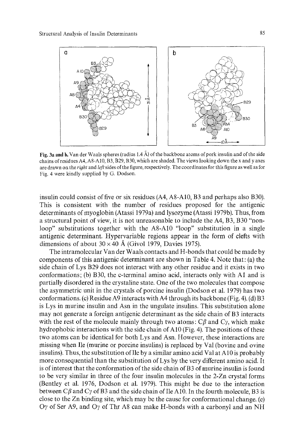

Fig. 3a and b. Van der Waals spheres (radius 1.4 A) of the backbone atoms of pork insulin and of the side chains of residues A4, A8-AI0, B3, B29, B30, which are shaded. The views looking down the x and y axes are drawn on the *right* and left sides of the figure, respectively. The coordinates for this figure as well as for Fig. 4 were kindly supplied by G. Dodson.

insulin could consist of five or six residues (A4, A8-A10, B3 and perhaps also B30). This is consistent with the number of residues proposed for the antigenic determinants of myoglobin (Atassi 1979a) and lysozyme (Atassi 1979b). Thus, from a structural point of view, it is not unreasonable to include the A4, B3, B30 "nonloop" substitutions together with the A8-A10 "loop" substitution in a single antigenic determinant. Hypervariable regions appear in the form of clefts with dimensions of about  $30 \times 40$  Å (Givol 1979, Davies 1975).

The intramolecular Van der Waals contacts and H-bonds that could be made by components of this antigenic determinant are shown in Table 4. Note that: (a) the side chain of Lys B29 does not interact with any other residue and it exists in two conformations; (b) B30, the c-terminal amino acid, interacts only with A1 and is partially disordered in the crystaline state. One of the two molecules that compose the asymmetric unit in the crystals of porcine insulin (Dodson et al. 1979) has two conformations. (c) Residue A9 interacts with A4 through its backbone (Fig. 4). (d) B3 is Lys in murine insulin and Asn in the ungulate insulins. This substitution alone may not generate a foreign antigenic determinant as the side chain of B3 interacts with the rest of the molecule mainly through two atoms:  $C\beta$  and  $C\gamma$ , which make hydrophobic interactions with the side chain of A10 (Fig. 4). The positions of these two atoms can be identical for both Lys and Asn. However, these interactions are missing when Ile (murine or porcine insulins) is replaced by Val (bovine and ovine insulins). Thus, the substitution of Ile by a similar amino acid Val at A10 is probably more consequential than the substitution of Lys by the very different amino acid. It is of interest that the conformation of the side chain of  $B3$  of murine insulin is found to be very similar in three of the four insulin molecules in the 2-Zn crystal forms (Bentley et al. 1976, Dodson et al. 1979). This might be due to the interaction between C $\beta$  and C $\gamma$  of B3 and the side chain of Ile A10. In the fourth molecule, B3 is close to the Zn binding site, which may be the cause for conformational change. (e) Oy of Ser A9, and Oy of Thr A8 can make H-bonds with a carbonyl and an NH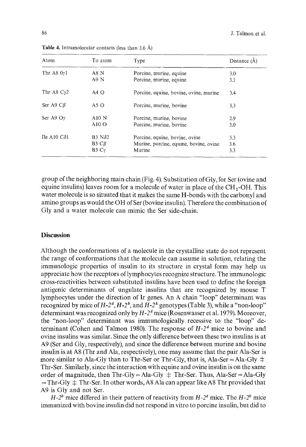| Atom                            | To atom                     | Type                                   | Distance (Å) |
|---------------------------------|-----------------------------|----------------------------------------|--------------|
| Thr $A80y1$                     | A8 N                        | Porcine, murine, equine                | 3.0          |
|                                 | A9N                         | Porcine, murine, equine                | 3.1          |
| Thr A8 $C_{\gamma}$ 2           | $AA$ O                      | Porcine, equine, bovine, ovine, murine | 3.4          |
| Ser A9 $CB$                     | A5O                         | Porcine, murine, bovine                | 3.3          |
| Ser A9 $O\gamma$                | A10N                        | Porcine, murine, bovine                | 2.9          |
|                                 | $A10$ O                     | Porcine, murine, bovine                | 3.0          |
| Ile A <sub>10</sub> $C\delta$ 1 | B <sub>3</sub> N $\delta$ 2 | Porcine, equine, bovine, ovine         | 3.3          |
|                                 | $B3 C\beta$                 | Murine, porcine, equine, bovine, ovine | 3.6          |
|                                 | B3Cy                        | Murine                                 | 3.3          |

**Table** 4. Intramolecular contacts (less than 3.6 A)

group of the neighboring main chain (Fig. 4). Substitution of Gly, for Ser (ovine and equine insulins) leaves room for a molecule of water in place of the  $CH_2-OH$ . This water molecule is so situated that it makes the same H-bonds with the carbonyl and amino groups as would the OH of Ser (bovine insulin). Therefore the combination of Gly and a water molecule can mimic the Ser side-chain.

### **Discussion**

Although the conformations of a molecule in the crystalline state do not represent the range of conformations that the molecule can assume in solution; relating the immunologic properties of insulin to its structure in crystal form may help us appreciate how the receptors of lymphocytes recognize structure. The immunologic cross-reactivities between substituted insulins have been used to define the foreign antigenic determinants of ungulate insulins that are recognized by mouse T lymphocytes under the direction of Ir genes. An A chain "loop" determinant was recognized by mice of  $H-2^d$ ,  $H-2^b$ , and  $H-2^k$  genotypes (Table 3), while a "non-loop" determinant was recognized only by  $H-2<sup>d</sup>$  mice (Rosenwasser et al. 1979). Moreover, the "non-loop" determinant was immunologically recessive to the "loop" determinant (Cohen and Talmon 1980). The response of  $H-2<sup>d</sup>$  mice to bovine and ovine insulins was similar. Since the only difference between these two insulins is at A9 (Ser and Gly, respectively), and since the difference between murine and bovine insulin is at A8 (Thr and Ala, respectively), one may assume that the pair Ala-Ser is more similar to Ala-Gly than to Thr-Ser or Thr-Gly, that is, Ala-Ser = Ala-Gly  $\pm$ Thr-Ser. Similarly, since the interaction with equine and ovine insulin is on the same order of magnitude, then  $Thr-Gly = Ala-Gly \pm Thr-Ser$ . Thus, Ala-Ser = Ala-Gly  $=$  Thr-Gly  $\pm$  Thr-Ser. In other words, A8 Ala can appear like A8 Thr provided that A9 is Gly and not Ser.

 $H-2^b$  mice differed in their pattern of reactivity from  $H-2^d$  mice. The  $H-2^b$  mice immunized with bovine insulin did not respond in vitro to porcine insulin, but did to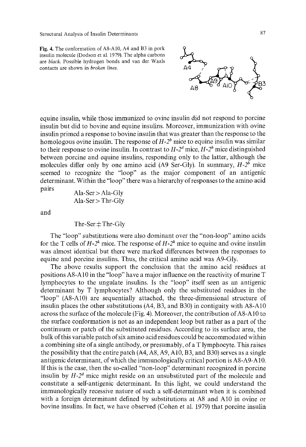Structural Analysis of Insulin Determinants

Fig. 4. The conformation of AS-A10, A4 and B3 in pork insulin molecule (Dodson et al. 1979). The alpha carbons are *black.* Possible hydrogen bonds and van der Waals contacts are shown in *broken lines.* 



pairs Ala-Ser > Ala-Gly Ala-Ser > Thr-Gly

and

 $Thr-Ser \pm Thr-Gly$ 

The "loop" substitutions were also dominant over the "non-loop" amino acids for the T cells of  $H-2^k$  mice. The response of  $H-2^k$  mice to equine and ovine insulin was almost identical but there were marked differences between the responses to equine and porcine insulins. Thus, the critical amino acid was A9-Gly.

The above results support the conclusion that the amino acid residues at positions A8-A10 in the "loop" have a major influence on the reactivity of murine T lymphocytes to the ungulate insulins. Is the "loop" itself seen as an antigenic determinant by T lymphocytes? Although only the substituted residues in the "loop" (A8-A10) are sequentially attached, the three-dimensional structure of insulin places the other substitutions (A4, B3, and B30) in contiguity with A8-A10 across the surface of the molecule (Fig. 4). Moreover, the contribution of A8-A10 to the surface conformation is not as an independent loop but rather as a part of the continuum or patch of the substituted residues. According to its surface area, the bulk of this variable patch of six amino acid residues could be accommodated within a combining site of a single antibody, or presumably, of a T lymphocyte. This raises the possibility that the entire patch (A4, A8, A9, A10, B3, and B30) serves as a single antigenic determinant, of which the immunologically critical portion is A8-A9-A 10. If this is the case, then the so-called "non-loop" determinant recognized in porcine insulin by  $H-2^d$  mice might reside on an unsubstituted part of the molecule and constitute a self-antigenic determinant. In this light, we could understand the immunologically recessive nature of such a self-determinant when it is combined with a foreign determinant defined by substitutions at A8 and A10 in ovine or bovine insulins. In fact, we have observed (Cohen et al. 1979) that porcine insulin

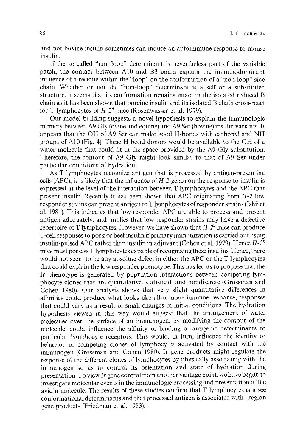and not bovine insulin sometimes can induce an autoimmune response to mouse insulin.

If the so-called "non-loop" determinant is nevertheless part of the variable patch, the contact between A10 and B3 could explain the immunodominant influence of a residue within the "loop" on the conformation of a "non-loop" side chain. Whether or not the "non-loop" determinant is a self or a substituted structure, it seems that its conformation remains intact in the isolated reduced B chain as it has been shown that porcine insulin and its isolated B chain cross-react for T lymphocytes of  $H-2^d$  mice (Rosenwasser et al. 1979).

Our model building suggests a novel hypothesis to explain the immunologic mimicry between A9 Gly (ovine and equine) and A9 Ser (bovine) insulin variants. It appears that the OH of A9 Ser can make good H-bonds with carbonyl and NH groups of A10 (Fig. 4). These H-bond donors would be available to the OH of a water molecule that could fit in the space provided by the A9 Gly substitution. Therefore, the contour of A9 Gly might look similar to that of A9 Ser under particular conditions of hydration.

As T lymphocytes recognize antigen that is processed by antigen-presenting cells (APC), it is likely that the influence of *H-2* genes on the response to insulin is expressed at the level of the interaction between T lymphocytes and the APC that present insulin. Recently it has been shown that APC originating from *H-2* low responder strains can present antigen to T lymphocytes of responder strains (Ishii et al. 1981). This indicates that low responder APC are able to process and present antigen adequately, and implies that low responder strains may have a defective repertoire of T lymphocytes. However, we have shown that  $H-2^k$  mice can produce T-cell responses to pork or beef insulin if primary immunization is carried out using insulin-pulsed APC rather than insulin in adjuvant (Cohen et al. 1979). Hence  $H-2^k$ mice must possess T lymphocytes capable of recognizing these insulins. Hence, there would not seem to be any absolute defect in either the APC or the T lymphocytes that could explain the low responder phenotype. This has led us to propose that the Ir phenotype is generated by population interactions between competing lymphocyte clones that are quantitative, statistical, and nondiscrete (Grossman and Cohen 1980). Our analysis shows that very slight quantitative differences in affinities could produce what looks like all-or-none immune response, responses that could vary as a result of small changes in initial conditions. The hydration hypothesis viewed in this way would suggest that the arrangement of water molecules over the surface of an immunogen, by modifying the contour of the molecule, could influence the affinity of binding of antigenic determinants to particular lymphocyte receptors. This would, in turn, influence the identity or behavior of competing clones of lymphocytes activated by contact with the immunogen (Grossman and Cohen 1980). Ir gene products might regulate the response of the different clones of lymphocytes by physically associating with the immunogen so as to control its orientation and state of hydration during presentation. To view *Ir* gene control from another vantage point, we have begun to investigate molecular events in the immunologic processing and presentation of the avidin molecule. The results of these studies confirm that T lymphocytes can see conformational determinants and that processed antigen is associated with I region gene products (Friedman et al. 1983).